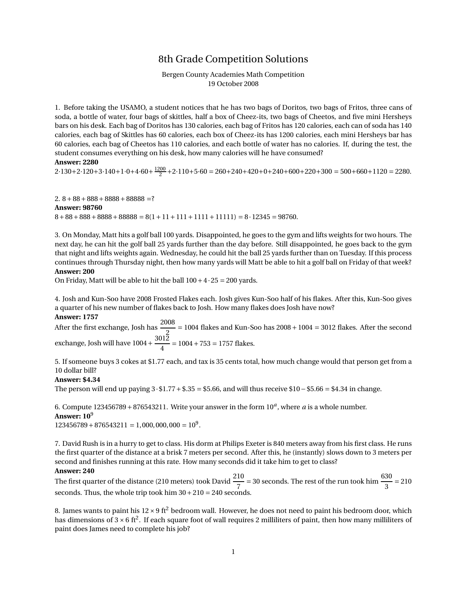## 8th Grade Competition Solutions

### Bergen County Academies Math Competition 19 October 2008

1. Before taking the USAMO, a student notices that he has two bags of Doritos, two bags of Fritos, three cans of soda, a bottle of water, four bags of skittles, half a box of Cheez-its, two bags of Cheetos, and five mini Hersheys bars on his desk. Each bag of Doritos has 130 calories, each bag of Fritos has 120 calories, each can of soda has 140 calories, each bag of Skittles has 60 calories, each box of Cheez-its has 1200 calories, each mini Hersheys bar has 60 calories, each bag of Cheetos has 110 calories, and each bottle of water has no calories. If, during the test, the student consumes everything on his desk, how many calories will he have consumed?

#### **Answer: 2280**

 $2 \cdot 130 + 2 \cdot 120 + 3 \cdot 140 + 1 \cdot 0 + 4 \cdot 60 + \frac{1200}{2} + 2 \cdot 110 + 5 \cdot 60 = 260 + 240 + 420 + 0 + 240 + 600 + 220 + 300 = 500 + 660 + 1120 = 2280.$ 

2.  $8+88+888+8888+88888$  =? **Answer: 98760**  $8+88+888+8888+88888 = 8(1+11+111+1111+11111) = 8.12345 = 98760.$ 

3. On Monday, Matt hits a golf ball 100 yards. Disappointed, he goes to the gym and lifts weights for two hours. The next day, he can hit the golf ball 25 yards further than the day before. Still disappointed, he goes back to the gym that night and lifts weights again. Wednesday, he could hit the ball 25 yards further than on Tuesday. If this process continues through Thursday night, then how many yards will Matt be able to hit a golf ball on Friday of that week? **Answer: 200**

On Friday, Matt will be able to hit the ball  $100 + 4 \cdot 25 = 200$  yards.

4. Josh and Kun-Soo have 2008 Frosted Flakes each. Josh gives Kun-Soo half of his flakes. After this, Kun-Soo gives a quarter of his new number of flakes back to Josh. How many flakes does Josh have now?

#### **Answer: 1757**

After the first exchange, Josh has  $\frac{2008}{2}$  = 1004 flakes and Kun-Soo has 2008 + 1004 = 3012 flakes. After the second exchange, Josh will have  $1004+\frac{3012}{4}$  $\frac{12}{4}$  = 1004 + 753 = 1757 flakes.

5. If someone buys 3 cokes at \$1.77 each, and tax is 35 cents total, how much change would that person get from a 10 dollar bill?

#### **Answer: \$4.34**

The person will end up paying 3·\$1.77+\$.35 = \$5.66, and will thus receive \$10−\$5.66 = \$4.34 in change.

6. Compute  $123456789 + 876543211$ . Write your answer in the form  $10^a$ , where *a* is a whole number. **Answer: 10**<sup>9</sup>

 $123456789 + 876543211 = 1,000,000,000 = 10<sup>9</sup>$ .

7. David Rush is in a hurry to get to class. His dorm at Philips Exeter is 840 meters away from his first class. He runs the first quarter of the distance at a brisk 7 meters per second. After this, he (instantly) slows down to 3 meters per second and finishes running at this rate. How many seconds did it take him to get to class?

### **Answer: 240**

The first quarter of the distance (210 meters) took David  $\frac{210}{7}$  $\frac{10}{7}$  = 30 seconds. The rest of the run took him  $\frac{630}{3}$  $\frac{3}{3}$  = 210 seconds. Thus, the whole trip took him  $30 + 210 = 240$  seconds.

8. James wants to paint his  $12 \times 9$  ft<sup>2</sup> bedroom wall. However, he does not need to paint his bedroom door, which has dimensions of  $3 \times 6$  ft<sup>2</sup>. If each square foot of wall requires 2 milliliters of paint, then how many milliliters of paint does James need to complete his job?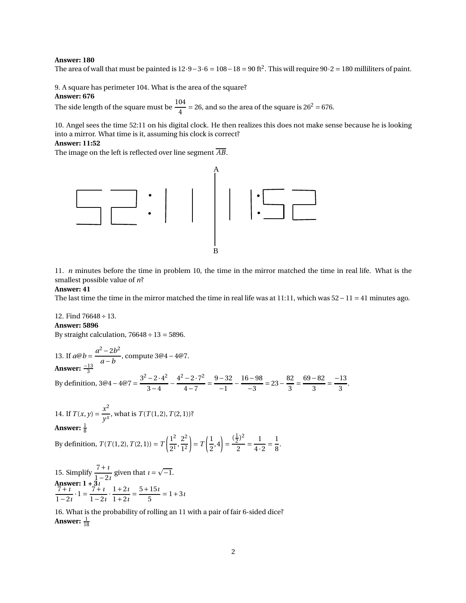#### **Answer: 180**

The area of wall that must be painted is  $12 \cdot 9 - 3 \cdot 6 = 108 - 18 = 90$  ft<sup>2</sup>. This will require  $90 \cdot 2 = 180$  milliliters of paint.

9. A square has perimeter 104. What is the area of the square?

#### **Answer: 676**

The side length of the square must be  $\frac{104}{4}$  = 26, and so the area of the square is 26<sup>2</sup> = 676.

10. Angel sees the time 52:11 on his digital clock. He then realizes this does not make sense because he is looking into a mirror. What time is it, assuming his clock is correct?

#### **Answer: 11:52**

The image on the left is reflected over line segment *AB*.



11. *n* minutes before the time in problem 10, the time in the mirror matched the time in real life. What is the smallest possible value of *n*?

#### **Answer: 41**

The last time the time in the mirror matched the time in real life was at 11:11, which was  $52 - 11 = 41$  minutes ago.

12. Find  $76648 \div 13$ . **Answer: 5896** By straight calculation,  $76648 \div 13 = 5896$ .

13. If  $a@b = \frac{a^2 - 2b^2}{a - b}$ *a* −*b* , compute 3@4−4@7. **Answer:**  $\frac{-13}{3}$ By definition, 3@4 – 4@7 =  $\frac{3^2 - 2 \cdot 4^2}{3 - 4}$  $\frac{3-4}{ }$  –  $4^2 - 2 \cdot 7^2$  $\frac{-2 \cdot 7^2}{4-7} = \frac{9-32}{-1}$  $\frac{-32}{-1} - \frac{16 - 98}{-3}$  $\frac{6-98}{-3} = 23 - \frac{82}{3}$  $\frac{32}{3} = \frac{69 - 82}{3}$  $\frac{-82}{3} = \frac{-13}{3}$  $\frac{1}{3}$ . 14. If  $T(x, y) = \frac{x^2}{y^x}$  $\frac{1}{y^x}$ , what is *T*(*T*(1,2), *T*(2, 1))? Answer:  $\frac{1}{8}$ By definition,  $T(T(1,2), T(2,1)) = T\left(\frac{1^2}{2^1}\right)$  $\frac{1^2}{2^1}, \frac{2^2}{1^2}$ 1 2  $= T\left(\frac{1}{2}\right)$  $\left(\frac{1}{2}, 4\right) =$  $(\frac{1}{2})^2$  $\frac{1}{2}$ 1  $\frac{1}{4\cdot 2}$ 1  $\frac{1}{8}$ .

15. Simplify  $\frac{7+i}{1-i}$  $\frac{7+i}{1-2i}$  given that  $i = \sqrt{-1}$ . **Answer: 1 + 3***ı* 7+ *ı*  $\frac{7+i}{1-2i} \cdot 1 = \frac{7+i}{1-2}$  $\frac{7+1}{1-2i} \cdot \frac{1+2i}{1+2i}$  $\frac{1+2i}{1+2i} = \frac{5+15i}{5}$  $\frac{1}{5}$  = 1+3*i* 

16. What is the probability of rolling an 11 with a pair of fair 6-sided dice? **Answer:**  $\frac{1}{18}$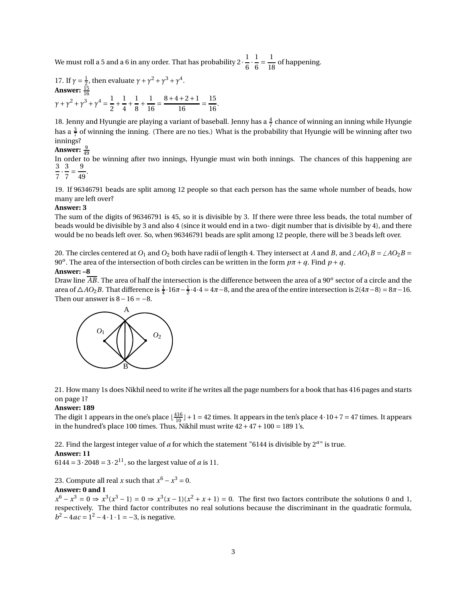We must roll a 5 and a 6 in any order. That has probability 2  $\cdot\frac{1}{6}$  $\overline{6}$ . 1  $\frac{1}{6}$ 1  $\frac{1}{18}$  of happening.

17. If  $\gamma = \frac{1}{2}$ , then evaluate  $\gamma + \gamma^2 + \gamma^3 + \gamma^4$ . **Answer:**  $\frac{15}{16}$ *γ* + *γ*<sup>2</sup> + *γ*<sup>3</sup> + *γ*<sup>4</sup> =  $\frac{1}{2}$  $\frac{1}{2}$  + 1  $\frac{1}{4}$  + 1  $\frac{1}{8}$  + 1  $\frac{1}{16} = \frac{8+4+2+1}{16}$  $\frac{16}{16}$  = 15  $\frac{1}{16}$ .

18. Jenny and Hyungie are playing a variant of baseball. Jenny has a  $\frac{4}{7}$  chance of winning an inning while Hyungie has a  $\frac{3}{7}$  of winning the inning. (There are no ties.) What is the probability that Hyungie will be winning after two innings?

# **Answer:**  $\frac{9}{49}$

In order to be winning after two innings, Hyungie must win both innings. The chances of this happening are 3 7 · 3  $\frac{1}{7}$ 9  $\frac{1}{49}$ .

19. If 96346791 beads are split among 12 people so that each person has the same whole number of beads, how many are left over?

#### **Answer: 3**

The sum of the digits of 96346791 is 45, so it is divisible by 3. If there were three less beads, the total number of beads would be divisible by 3 and also 4 (since it would end in a two- digit number that is divisible by 4), and there would be no beads left over. So, when 96346791 beads are split among 12 people, there will be 3 beads left over.

20. The circles centered at  $O_1$  and  $O_2$  both have radii of length 4. They intersect at *A* and *B*, and  $\angle AO_1B = \angle AO_2B$ 90<sup>*o*</sup>. The area of the intersection of both circles can be written in the form  $p\pi + q$ . Find  $p + q$ .

#### **Answer: –8**

Draw line  $\overline{AB}.$  The area of half the intersection is the difference between the area of a 90 $^o$  sector of a circle and the area of  $\triangle AO_2B$ . That difference is  $\frac{1}{4} \cdot 16\pi - \frac{1}{2} \cdot 4 \cdot 4 = 4\pi - 8$ , and the area of the entire intersection is 2(4 $\pi - 8$ ) =  $8\pi - 16$ . Then our answer is  $8-16 = -8$ .



21. How many 1s does Nikhil need to write if he writes all the page numbers for a book that has 416 pages and starts on page 1?

## **Answer: 189**

The digit 1 appears in the one's place  $\lfloor \frac{416}{10} \rfloor + 1 = 42$  times. It appears in the ten's place  $4 \cdot 10 + 7 = 47$  times. It appears in the hundred's place 100 times. Thus, Nikhil must write  $42 + 47 + 100 = 189$  1's.

22. Find the largest integer value of *a* for which the statement "6144 is divisible by 2*<sup>a</sup>* " is true.

## **Answer: 11**

 $6144 = 3 \cdot 2048 = 3 \cdot 2^{11}$ , so the largest value of *a* is 11.

23. Compute all real *x* such that  $x^6 - x^3 = 0$ . **Answer: 0 and 1**

 $x^6 - x^3 = 0 \Rightarrow x^3(x^3 - 1) = 0 \Rightarrow x^3(x - 1)(x^2 + x + 1) = 0$ . The first two factors contribute the solutions 0 and 1, respectively. The third factor contributes no real solutions because the discriminant in the quadratic formula,  $b^2 - 4ac = 1^2 - 4 \cdot 1 \cdot 1 = -3$ , is negative.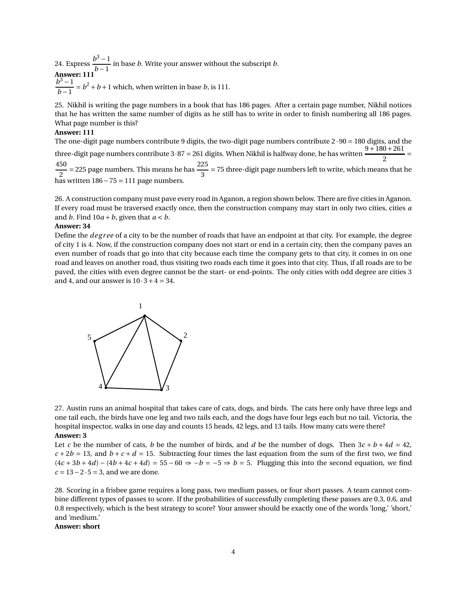24. Express  $\frac{b^3-1}{1}$  $\frac{1}{b-1}$  in base *b*. Write your answer without the subscript *b*. **Answer: 111**  $b^3 - 1$  $\frac{b-1}{b-1} = b^2 + b + 1$  which, when written in base *b*, is 111.

25. Nikhil is writing the page numbers in a book that has 186 pages. After a certain page number, Nikhil notices that he has written the same number of digits as he still has to write in order to finish numbering all 186 pages. What page number is this?

#### **Answer: 111**

The one-digit page numbers contribute 9 digits, the two-digit page numbers contribute  $2 \cdot 90 = 180$  digits, and the three-digit page numbers contribute  $3.87 = 261$  digits. When Nikhil is halfway done, he has written  $\frac{9+180+261}{2} =$ 450  $\frac{50}{2}$  = 225 page numbers. This means he has  $\frac{225}{3}$  $\frac{2}{3}$  = 75 three-digit page numbers left to write, which means that he has written 186−75 = 111 page numbers.

26. A construction company must pave every road in Aganon, a region shown below. There are five cities in Aganon. If every road must be traversed exactly once, then the construction company may start in only two cities, cities *a* and *b*. Find  $10a + b$ , given that  $a < b$ .

### **Answer: 34**

Define the *deg r ee* of a city to be the number of roads that have an endpoint at that city. For example, the degree of city 1 is 4. Now, if the construction company does not start or end in a certain city, then the company paves an even number of roads that go into that city because each time the company gets to that city, it comes in on one road and leaves on another road, thus visiting two roads each time it goes into that city. Thus, if all roads are to be paved, the cities with even degree cannot be the start- or end-points. The only cities with odd degree are cities 3 and 4, and our answer is  $10 \cdot 3 + 4 = 34$ .



27. Austin runs an animal hospital that takes care of cats, dogs, and birds. The cats here only have three legs and one tail each, the birds have one leg and two tails each, and the dogs have four legs each but no tail. Victoria, the hospital inspector, walks in one day and counts 15 heads, 42 legs, and 13 tails. How many cats were there? **Answer: 3**

Let *c* be the number of cats, *b* be the number of birds, and *d* be the number of dogs. Then  $3c + b + 4d = 42$ ,  $c + 2b = 13$ , and  $b + c + d = 15$ . Subtracting four times the last equation from the sum of the first two, we find  $(4c + 3b + 4d) - (4b + 4c + 4d) = 55 - 60 \Rightarrow -b = -5 \Rightarrow b = 5$ . Plugging this into the second equation, we find  $c = 13 - 2 \cdot 5 = 3$ , and we are done.

28. Scoring in a frisbee game requires a long pass, two medium passes, or four short passes. A team cannot combine different types of passes to score. If the probabilities of successfully completing these passes are 0.3, 0.6, and 0.8 respectively, which is the best strategy to score? Your answer should be exactly one of the words 'long,' 'short,' and 'medium.'

**Answer: short**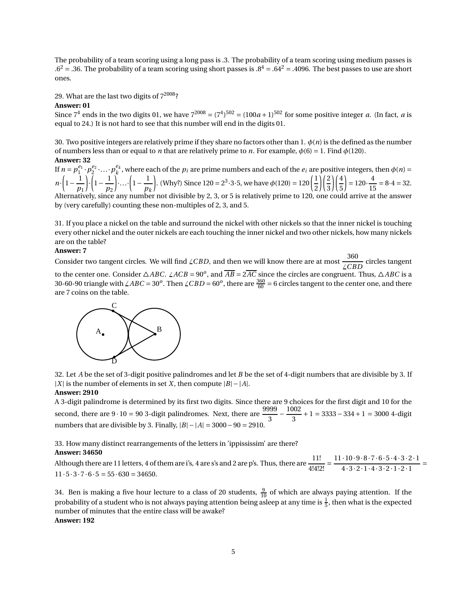The probability of a team scoring using a long pass is .3. The probability of a team scoring using medium passes is  $.6^2$  = .36. The probability of a team scoring using short passes is  $.8^4$  = .64<sup>2</sup> = .4096. The best passes to use are short ones.

29. What are the last two digits of  $7^{2008}$ ?

#### **Answer: 01**

Since  $7^4$  ends in the two digits 01, we have  $7^{2008} = (7^4)^{502} = (100a + 1)^{502}$  for some positive integer *a*. (In fact, *a* is equal to 24.) It is not hard to see that this number will end in the digits 01.

30. Two positive integers are relatively prime if they share no factors other than 1. *φ*(*n*) is the defined as the number of numbers less than or equal to *n* that are relatively prime to *n*. For example, *φ*(6) = 1. Find *φ*(120). **Answer: 32**

If  $n = p_1^{e_1} \cdot p_2^{e_2} \cdot \ldots \cdot p_k^{e_k}$ , where each of the  $p_i$  are prime numbers and each of the  $e_i$  are positive integers, then  $\phi(n)$  =  $n \cdot \left(1 - \frac{1}{n}\right)$ *p*1 ¶ ·  $\left(1-\frac{1}{n}\right)$ *p*2  $\Bigg) \cdot \ldots \cdot \Bigg( 1 - \frac{1}{n} \Bigg)$ *pk* . (Why?) Since 120 =  $2^3 \cdot 3 \cdot 5$ , we have  $\phi(120) = 120\left(\frac{1}{2}\right)$ 

2 3 5  $\frac{1}{15} = 8.4 = 32.$ Alternatively, since any number not divisible by 2, 3, or 5 is relatively prime to 120, one could arrive at the answer by (very carefully) counting these non-multiples of 2, 3, and 5.

 $\binom{2}{ }$ 

 $(4)$ 

 $= 120 \cdot \frac{4}{15}$ 

31. If you place a nickel on the table and surround the nickel with other nickels so that the inner nickel is touching every other nickel and the outer nickels are each touching the inner nickel and two other nickels, how many nickels are on the table?

## **Answer: 7**

Consider two tangent circles. We will find  $\angle CBD$ , and then we will know there are at most  $\frac{360}{\angle CBD}$  circles tangent to the center one. Consider  $\triangle ABC$ .  $\angle ACB = 90^{\circ}$ , and  $\overline{AB} = 2\overline{AC}$  since the circles are congruent. Thus,  $\triangle ABC$  is a 30-60-90 triangle with  $\angle ABC = 30^o$ . Then  $\angle CBD = 60^o$ , there are  $\frac{360}{60} = 6$  circles tangent to the center one, and there are 7 coins on the table.



32. Let *A* be the set of 3-digit positive palindromes and let *B* be the set of 4-digit numbers that are divisible by 3. If |*X*| is the number of elements in set *X*, then compute  $|B| - |A|$ .

## **Answer: 2910**

A 3-digit palindrome is determined by its first two digits. Since there are 9 choices for the first digit and 10 for the second, there are  $9 \cdot 10 = 90$  3-digit palindromes. Next, there are  $\frac{9999}{3}$  – 1002  $\frac{3}{3}$  + 1 = 3333 – 334 + 1 = 3000 4-digit numbers that are divisible by 3. Finally,  $|B| - |A| = 3000 - 90 = 2910$ .

33. How many distinct rearrangements of the letters in 'ippississim' are there?

## **Answer: 34650**

Although there are 11 letters, 4 of them are i's, 4 are s's and 2 are p's. Thus, there are  $\frac{11!}{11!}$  $\frac{11!}{4!4!2!} = \frac{11 \cdot 10 \cdot 9 \cdot 8 \cdot 7 \cdot 6 \cdot 5 \cdot 4 \cdot 3 \cdot 2 \cdot 1}{4 \cdot 3 \cdot 2 \cdot 1 \cdot 4 \cdot 3 \cdot 2 \cdot 1 \cdot 2 \cdot 1}$  $4.3.2.1.4.3.2.1.2.1$  $11 \cdot 5 \cdot 3 \cdot 7 \cdot 6 \cdot 5 = 55 \cdot 630 = 34650.$ 

34. Ben is making a five hour lecture to a class of 20 students,  $\frac{9}{10}$  of which are always paying attention. If the probability of a student who is not always paying attention being asleep at any time is  $\frac{1}{5}$ , then what is the expected number of minutes that the entire class will be awake? **Answer: 192**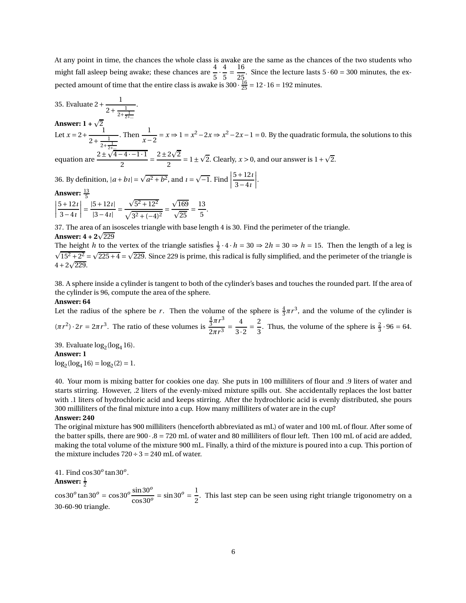At any point in time, the chances the whole class is awake are the same as the chances of the two students who might fall asleep being awake; these chances are  $\frac{4}{5}$ . 4  $\frac{1}{5}$  = 16  $\frac{25}{25}$ . Since the lecture lasts  $5 \cdot 60 = 300$  minutes, the expected amount of time that the entire class is awake is  $300 \cdot \frac{16}{25} = 12 \cdot 16 = 192$  minutes. 16

35. Evaluate  $2 + \frac{1}{2+1}$  $2+\frac{1}{2+\frac{1}{2+}}$ 

**Answer:**  $1 + \sqrt{2}$ 

Let  $x = 2 + \frac{1}{2+1}$  $2+\frac{1}{2+\frac{1}{2}}$  $2+\frac{1}{2+\frac{1}{2+\frac{1}{2+\frac{1}{2+\frac{1}{2+\frac{1}{2+\frac{1}{2+\frac{1}{2+\frac{1}{2+\frac{1}{2+\frac{1}{2+\frac{1}{2+\frac{1}{2+\frac{1}{2+\frac{1}{2+\frac{1}{2+\frac{1}{2+\frac{1}{2+\frac{1}{2+\frac{1}{2+\frac{1}{2+\frac{1}{2+\frac{1}{2+\frac{1}{2+\frac{1}{2+\frac{1}{2+\frac{1}{2+\frac{1}{2+\frac{1}{2+\frac{1}{2+\frac{1}{2+\frac{1}{2+\frac{1}{2+\frac{1}{2+\frac{1}{2+\frac{1}{2+\frac{$ . Then  $\frac{1}{\sqrt{1}}$  $\frac{1}{x-2} = x \Rightarrow 1 = x^2 - 2x \Rightarrow x^2 - 2x - 1 = 0$ . By the quadratic formula, the solutions to this  $\sqrt{4-4-1.1}$   $2+2\sqrt{2}$ 

equation are  $\frac{2\pm\sqrt{4-4\cdot-1\cdot1}}{2}$  $\frac{-4-1\cdot 1}{2} = \frac{2\pm 2\sqrt{2}}{2}$  $\frac{2\sqrt{2}}{2}$  = 1 ±  $\sqrt{2}$ . Clearly, *x* > 0, and our answer is 1 +  $\sqrt{2}$ .

36. By definition,  $|a + bi| = \sqrt{a^2 + b^2}$ , and  $i = \sqrt{-1}$ . Find 5+12*ı* 3−4*ı* ¯ ¯ ¯ ¯ .

**Answer:**  $\frac{13}{5}$ 

 $\begin{bmatrix} \frac{1}{2} & \frac{1}{2} \\ \frac{1}{2} & \frac{1}{2} \\ \frac{1}{2} & \frac{1}{2} \end{bmatrix}$ 5+12*ı* 3−4*ı*  $\Big\} =$ |5+12*ı*|  $|3-4i|$ <sup>=</sup>  $\sqrt{5^2 + 12^2}$  $\sqrt{3^2 + (-4)^2}$  $\sqrt{169}$  $\overline{\sqrt{25}}$  = 13  $\frac{1}{5}$ .

.

37. The area of an isosceles triangle with base length 4 is 30. Find the perimeter of the triangle.

## **Answer: 4 + 2** $\sqrt{229}$

The height *h* to the vertex of the triangle satisfies  $\frac{1}{2} \cdot 4 \cdot h = 30 \Rightarrow 2h = 30 \Rightarrow h = 15$ . Then the length of a leg is  $\sqrt{15^2 + 2^2} = \sqrt{225 + 4} = \sqrt{229}$ . Since 229 is prime, this radical is fully simplified, and the perimeter of the triangle is  $4+2\sqrt{229}$ .

38. A sphere inside a cylinder is tangent to both of the cylinder's bases and touches the rounded part. If the area of the cylinder is 96, compute the area of the sphere.

### **Answer: 64**

Let the radius of the sphere be *r*. Then the volume of the sphere is  $\frac{4}{3}\pi r^3$ , and the volume of the cylinder is  $(\pi r^2) \cdot 2r = 2\pi r^3$ . The ratio of these volumes is  $\frac{4}{3}πr^3$  $\sqrt{2\pi r^3}$ 4  $\overline{3\cdot 2}$  = 2  $\frac{2}{3}$ . Thus, the volume of the sphere is  $\frac{2}{3} \cdot 96 = 64$ .

39. Evaluate  $log_2(log_4 16)$ .

#### **Answer: 1**

 $log_2(log_4 16) = log_2(2) = 1.$ 

40. Your mom is mixing batter for cookies one day. She puts in 100 milliliters of flour and .9 liters of water and starts stirring. However, .2 liters of the evenly-mixed mixture spills out. She accidentally replaces the lost batter with .1 liters of hydrochloric acid and keeps stirring. After the hydrochloric acid is evenly distributed, she pours 300 milliliters of the final mixture into a cup. How many milliliters of water are in the cup?

## **Answer: 240**

The original mixture has 900 milliliters (henceforth abbreviated as mL) of water and 100 mL of flour. After some of the batter spills, there are  $900 \cdot .8 = 720$  mL of water and 80 milliliters of flour left. Then 100 mL of acid are added, making the total volume of the mixture 900 mL. Finally, a third of the mixture is poured into a cup. This portion of the mixture includes  $720 \div 3 = 240$  mL of water.

41. Find cos30*<sup>o</sup>* tan30*<sup>o</sup>* . Answer:  $\frac{1}{2}$ 

 $\cos 30^o \tan 30^o = \cos 30^o \frac{\sin 30^o}{\cos 30^o}$  $\frac{\sin 30^o}{\cos 30^o} = \sin 30^o = \frac{1}{2}$  $\frac{1}{2}$ . This last step can be seen using right triangle trigonometry on a 30-60-90 triangle.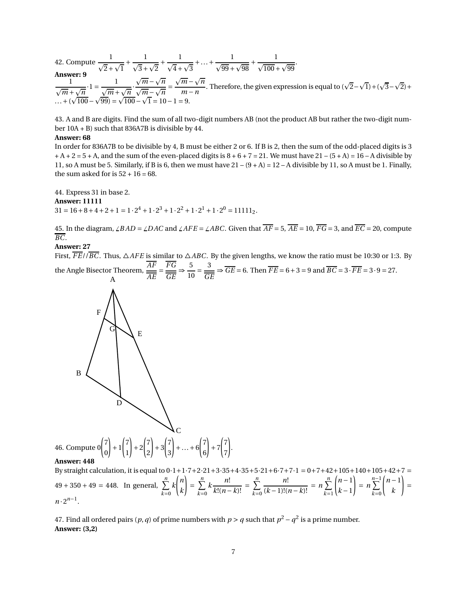42. Compute  $\frac{1}{\sqrt{2}}$  $\sqrt{2}+\sqrt{1}$ <sup>+</sup> 1  $\sqrt{3}+\sqrt{2}$ <sup>+</sup> 1  $\frac{1}{\sqrt{4}+\sqrt{3}}+...+\frac{1}{\sqrt{99}+}$  $\sqrt{99} + \sqrt{98}$ <sup>+</sup> 1  $\sqrt{100} + \sqrt{99}$ . **Answer: 9** 1  $\frac{1}{\sqrt{m} + \sqrt{n}} \cdot 1 = \frac{1}{\sqrt{m} + \sqrt{n}}$  $\sqrt{m} + \sqrt{n}$  $\sqrt{m} - \sqrt{n}$  $\sqrt{m} - \sqrt{n}$  $\sqrt{m} - \sqrt{n}$ *m* −*n* . Therefore, the given expression is equal to  $(\sqrt{2}-\sqrt{1})+(\sqrt{3}-\sqrt{2})+$  $\dots + ($  $\sqrt{\frac{100}{100}} - \sqrt{99} = \sqrt{\frac{100}{100}} - \sqrt{\frac{100}{100}}$ 100− 99) = 100−  $1 = 10 - 1 = 9.$ 

43. A and B are digits. Find the sum of all two-digit numbers AB (not the product AB but rather the two-digit number 10A + B) such that 836A7B is divisible by 44.

#### **Answer: 68**

In order for 836A7B to be divisible by 4, B must be either 2 or 6. If B is 2, then the sum of the odd-placed digits is 3  $+ A + 2 = 5 + A$ , and the sum of the even-placed digits is  $8 + 6 + 7 = 21$ . We must have  $21 - (5 + A) = 16 - A$  divisible by 11, so A must be 5. Similarly, if B is 6, then we must have  $21 - (9 + A) = 12 - A$  divisible by 11, so A must be 1. Finally, the sum asked for is  $52 + 16 = 68$ .

44. Express 31 in base 2. **Answer: 11111**  $31 = 16 + 8 + 4 + 2 + 1 = 1 \cdot 2^4 + 1 \cdot 2^3 + 1 \cdot 2^2 + 1 \cdot 2^1 + 1 \cdot 2^0 = 11111_2.$ 

45. In the diagram,  $\angle BAD = \angle DAC$  and  $\angle AFE = \angle ABC$ . Given that  $\overline{AF} = 5$ ,  $\overline{AE} = 10$ ,  $\overline{FG} = 3$ , and  $\overline{EC} = 20$ , compute *BC*.

#### **Answer: 27**

First,  $\overline{FE}/\overline{BC}$ . Thus,  $\triangle AFE$  is similar to  $\triangle ABC$ . By the given lengths, we know the ratio must be 10:30 or 1:3. By the Angle Bisector Theorem, *AF FG* 5  $\frac{1}{10}$ 3  $\frac{1}{\sqrt{GE}} \Rightarrow$  *GE* = 6. Then *FE* = 6 + 3 = 9 and *BC* = 3 · *FE* = 3 · 9 = 27.



#### **Answer: 448**

By straight calculation, it is equal to  $0.1+1.7+2.21+3.35+4.35+5.21+6.7+7.1 = 0+7+42+105+140+105+42+7 =$  $49 + 350 + 49 = 448$ . In general,  $\sum_{n=1}^{n}$ *k*=0 *k* Ã *n k* !  $=\sum_{n=1}^{n}$ *k*=0  $k \frac{n!}{\sqrt{2n+1}}$  $\frac{n!}{k!(n-k)!} = \sum_{k=0}^{n}$ *k*=0 *n*!  $\frac{n!}{(k-1)!(n-k)!} = n \sum_{k=1}^{n}$ *k*=1  $\left(n-1\right)$ *k* −1 !  $= n \sum_{n=1}^{n-1}$ *k*=0  $\left(n-1\right)$ *k* ! =  $n \cdot 2^{n-1}$ .

7 ! .

47. Find all ordered pairs  $(p, q)$  of prime numbers with  $p > q$  such that  $p^2 - q^2$  is a prime number. **Answer: (3,2)**